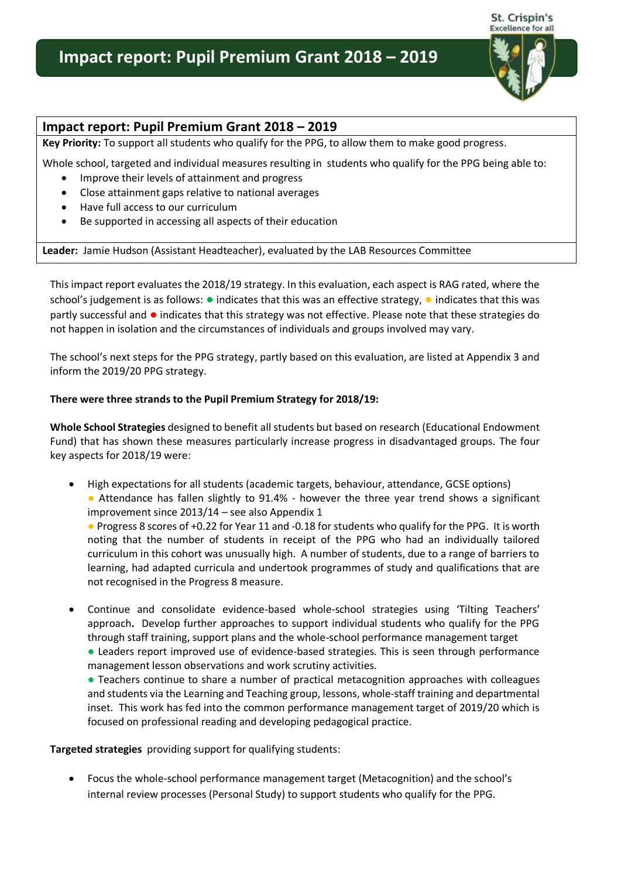# **Impact report: Pupil Premium Grant 2018 – 2019**



## **Impact report: Pupil Premium Grant 2018 – 2019**

**Key Priority:** To support all students who qualify for the PPG, to allow them to make good progress.

Whole school, targeted and individual measures resulting in students who qualify for the PPG being able to:

- Improve their levels of attainment and progress
- Close attainment gaps relative to national averages
- Have full access to our curriculum
- Be supported in accessing all aspects of their education

**Leader:** Jamie Hudson (Assistant Headteacher), evaluated by the LAB Resources Committee

This impact report evaluates the 2018/19 strategy. In this evaluation, each aspect is RAG rated, where the school's judgement is as follows: ● indicates that this was an effective strategy, ● indicates that this was partly successful and ● indicates that this strategy was not effective. Please note that these strategies do not happen in isolation and the circumstances of individuals and groups involved may vary.

The school's next steps for the PPG strategy, partly based on this evaluation, are listed at Appendix 3 and inform the 2019/20 PPG strategy.

#### **There were three strands to the Pupil Premium Strategy for 2018/19:**

**Whole School Strategies** designed to benefit all students but based on research (Educational Endowment Fund) that has shown these measures particularly increase progress in disadvantaged groups. The four key aspects for 2018/19 were:

 High expectations for all students (academic targets, behaviour, attendance, GCSE options) • Attendance has fallen slightly to 91.4% - however the three year trend shows a significant improvement since 2013/14 – see also Appendix 1

● Progress 8 scores of +0.22 for Year 11 and -0.18 for students who qualify for the PPG. It is worth noting that the number of students in receipt of the PPG who had an individually tailored curriculum in this cohort was unusually high. A number of students, due to a range of barriers to learning, had adapted curricula and undertook programmes of study and qualifications that are not recognised in the Progress 8 measure.

 Continue and consolidate evidence-based whole-school strategies using 'Tilting Teachers' approach**.** Develop further approaches to support individual students who qualify for the PPG through staff training, support plans and the whole-school performance management target

● Leaders report improved use of evidence-based strategies. This is seen through performance management lesson observations and work scrutiny activities.

● Teachers continue to share a number of practical metacognition approaches with colleagues and students via the Learning and Teaching group, lessons, whole-staff training and departmental inset. This work has fed into the common performance management target of 2019/20 which is focused on professional reading and developing pedagogical practice.

**Targeted strategies** providing support for qualifying students:

 Focus the whole-school performance management target (Metacognition) and the school's internal review processes (Personal Study) to support students who qualify for the PPG.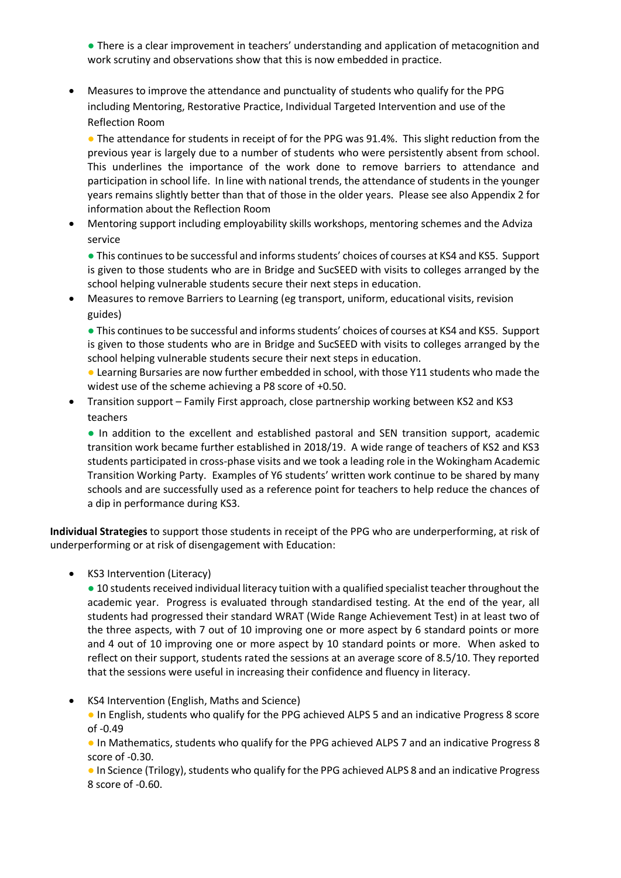● There is a clear improvement in teachers' understanding and application of metacognition and work scrutiny and observations show that this is now embedded in practice.

 Measures to improve the attendance and punctuality of students who qualify for the PPG including Mentoring, Restorative Practice, Individual Targeted Intervention and use of the Reflection Room

• The attendance for students in receipt of for the PPG was 91.4%. This slight reduction from the previous year is largely due to a number of students who were persistently absent from school. This underlines the importance of the work done to remove barriers to attendance and participation in school life. In line with national trends, the attendance of students in the younger years remains slightly better than that of those in the older years. Please see also Appendix 2 for information about the Reflection Room

 Mentoring support including employability skills workshops, mentoring schemes and the Adviza service

● This continues to be successful and informs students' choices of courses at KS4 and KS5. Support is given to those students who are in Bridge and SucSEED with visits to colleges arranged by the school helping vulnerable students secure their next steps in education.

 Measures to remove Barriers to Learning (eg transport, uniform, educational visits, revision guides)

● This continues to be successful and informs students' choices of courses at KS4 and KS5. Support is given to those students who are in Bridge and SucSEED with visits to colleges arranged by the school helping vulnerable students secure their next steps in education.

- Learning Bursaries are now further embedded in school, with those Y11 students who made the widest use of the scheme achieving a P8 score of +0.50.
- Transition support Family First approach, close partnership working between KS2 and KS3 teachers

● In addition to the excellent and established pastoral and SEN transition support, academic transition work became further established in 2018/19. A wide range of teachers of KS2 and KS3 students participated in cross-phase visits and we took a leading role in the Wokingham Academic Transition Working Party. Examples of Y6 students' written work continue to be shared by many schools and are successfully used as a reference point for teachers to help reduce the chances of a dip in performance during KS3.

**Individual Strategies** to support those students in receipt of the PPG who are underperforming, at risk of underperforming or at risk of disengagement with Education:

• KS3 Intervention (Literacy)

● 10 students received individual literacy tuition with a qualified specialist teacher throughout the academic year. Progress is evaluated through standardised testing. At the end of the year, all students had progressed their standard WRAT (Wide Range Achievement Test) in at least two of the three aspects, with 7 out of 10 improving one or more aspect by 6 standard points or more and 4 out of 10 improving one or more aspect by 10 standard points or more. When asked to reflect on their support, students rated the sessions at an average score of 8.5/10. They reported that the sessions were useful in increasing their confidence and fluency in literacy.

KS4 Intervention (English, Maths and Science)

● In English, students who qualify for the PPG achieved ALPS 5 and an indicative Progress 8 score of -0.49

● In Mathematics, students who qualify for the PPG achieved ALPS 7 and an indicative Progress 8 score of -0.30.

● In Science (Trilogy), students who qualify for the PPG achieved ALPS 8 and an indicative Progress 8 score of -0.60.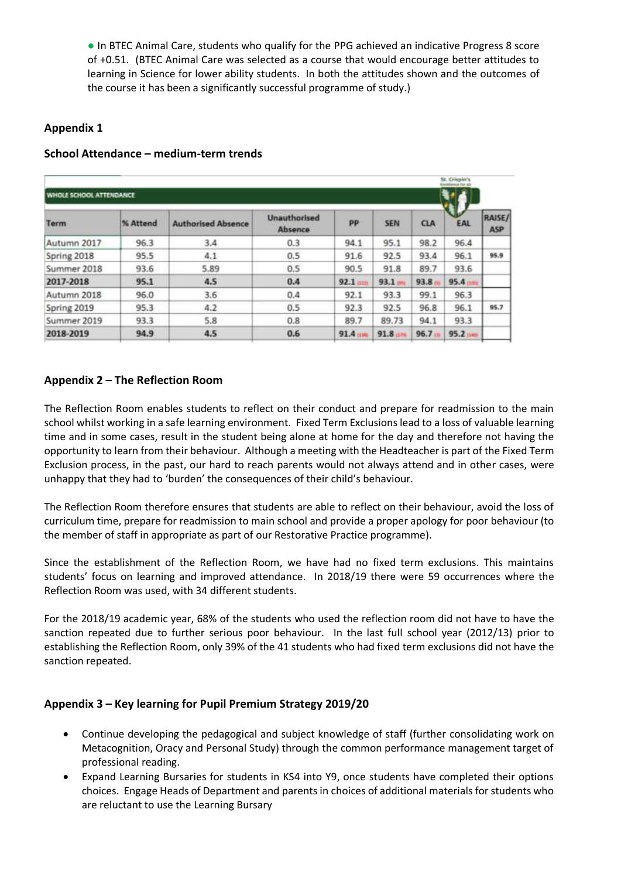● In BTEC Animal Care, students who qualify for the PPG achieved an indicative Progress 8 score of +0.51. (BTEC Animal Care was selected as a course that would encourage better attitudes to learning in Science for lower ability students. In both the attitudes shown and the outcomes of the course it has been a significantly successful programme of study.)

## **Appendix 1**

|                                |          |                           |                                |           |            |            | St. Criunio's         |                      |  |  |
|--------------------------------|----------|---------------------------|--------------------------------|-----------|------------|------------|-----------------------|----------------------|--|--|
| <b>WHOLE SCHOOL ATTENDANCE</b> |          |                           |                                |           |            |            |                       |                      |  |  |
| Term                           | % Attend | <b>Authorised Absence</b> | <b>Unauthorised</b><br>Absence | PP        | <b>SEN</b> | <b>CLA</b> | EAL                   | RAISE/<br><b>ASP</b> |  |  |
| Autumn 2017                    | 96.3     | 3.4                       | 0.3                            | 94.1      | 95.1       | 98.2       | 96.4                  |                      |  |  |
| Spring 2018                    | 95.5     | 4.1                       | 0.5                            | 91.6      | 92.5       | 93.4       | 96.1                  | 95.9                 |  |  |
| Summer 2018                    | 93.6     | 5.89                      | 0.5                            | 90.5      | 91.8       | 89.7       | 93.6                  |                      |  |  |
| 2017-2018                      | 95.1     | 4.5                       | 0.4                            | $92.1$ mm | 93.1       | 93.8       | 95.4 <sub>1</sub>     |                      |  |  |
| Autumn 2018                    | 96.0     | 3.6                       | 0.4                            | 92.1      | 93.3       | 99.1       | 96.3                  |                      |  |  |
| Spring 2019                    | 95.3     | 4.2                       | 0.5                            | 92.3      | 92.5       | 96.8       | 96.1                  | 95.7                 |  |  |
| Summer 2019                    | 93.3     | 5.8                       | 0.8                            | 89.7      | 89.73      | 94.1       | 93.3                  |                      |  |  |
| 2018-2019                      | 94.9     | 4.5                       | 0.6                            | 91.4      | 91.8       | 96.7 m     | $95.2 \, \mathrm{mm}$ |                      |  |  |

### **School Attendance – medium-term trends**

## **Appendix 2 – The Reflection Room**

The Reflection Room enables students to reflect on their conduct and prepare for readmission to the main school whilst working in a safe learning environment. Fixed Term Exclusions lead to a loss of valuable learning time and in some cases, result in the student being alone at home for the day and therefore not having the opportunity to learn from their behaviour. Although a meeting with the Headteacher is part of the Fixed Term Exclusion process, in the past, our hard to reach parents would not always attend and in other cases, were unhappy that they had to 'burden' the consequences of their child's behaviour.

The Reflection Room therefore ensures that students are able to reflect on their behaviour, avoid the loss of curriculum time, prepare for readmission to main school and provide a proper apology for poor behaviour (to the member of staff in appropriate as part of our Restorative Practice programme).

Since the establishment of the Reflection Room, we have had no fixed term exclusions. This maintains students' focus on learning and improved attendance. In 2018/19 there were 59 occurrences where the Reflection Room was used, with 34 different students.

For the 2018/19 academic year, 68% of the students who used the reflection room did not have to have the sanction repeated due to further serious poor behaviour. In the last full school year (2012/13) prior to establishing the Reflection Room, only 39% of the 41 students who had fixed term exclusions did not have the sanction repeated.

### **Appendix 3 – Key learning for Pupil Premium Strategy 2019/20**

- Continue developing the pedagogical and subject knowledge of staff (further consolidating work on Metacognition, Oracy and Personal Study) through the common performance management target of professional reading.
- Expand Learning Bursaries for students in KS4 into Y9, once students have completed their options choices. Engage Heads of Department and parents in choices of additional materials for students who are reluctant to use the Learning Bursary